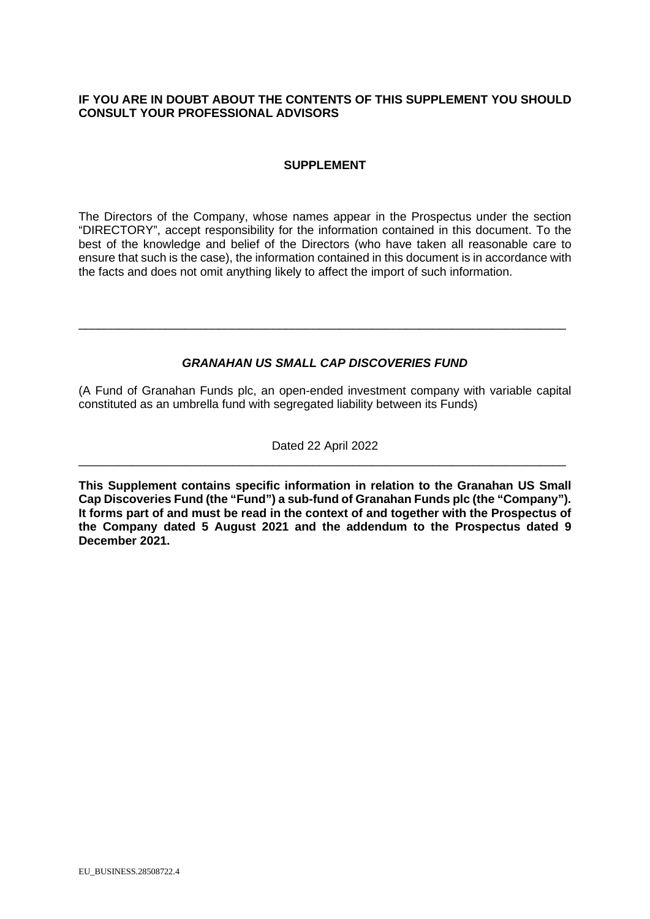# **IF YOU ARE IN DOUBT ABOUT THE CONTENTS OF THIS SUPPLEMENT YOU SHOULD CONSULT YOUR PROFESSIONAL ADVISORS**

# **SUPPLEMENT**

The Directors of the Company, whose names appear in the Prospectus under the section "DIRECTORY", accept responsibility for the information contained in this document. To the best of the knowledge and belief of the Directors (who have taken all reasonable care to ensure that such is the case), the information contained in this document is in accordance with the facts and does not omit anything likely to affect the import of such information.

# *GRANAHAN US SMALL CAP DISCOVERIES FUND*

\_\_\_\_\_\_\_\_\_\_\_\_\_\_\_\_\_\_\_\_\_\_\_\_\_\_\_\_\_\_\_\_\_\_\_\_\_\_\_\_\_\_\_\_\_\_\_\_\_\_\_\_\_\_\_\_\_\_\_\_\_\_\_\_\_\_\_\_\_\_\_\_\_

(A Fund of Granahan Funds plc, an open-ended investment company with variable capital constituted as an umbrella fund with segregated liability between its Funds)

Dated 22 April 2022 \_\_\_\_\_\_\_\_\_\_\_\_\_\_\_\_\_\_\_\_\_\_\_\_\_\_\_\_\_\_\_\_\_\_\_\_\_\_\_\_\_\_\_\_\_\_\_\_\_\_\_\_\_\_\_\_\_\_\_\_\_\_\_\_\_\_\_\_\_\_\_\_\_

**This Supplement contains specific information in relation to the Granahan US Small Cap Discoveries Fund (the "Fund") a sub-fund of Granahan Funds plc (the "Company"). It forms part of and must be read in the context of and together with the Prospectus of the Company dated 5 August 2021 and the addendum to the Prospectus dated 9 December 2021.**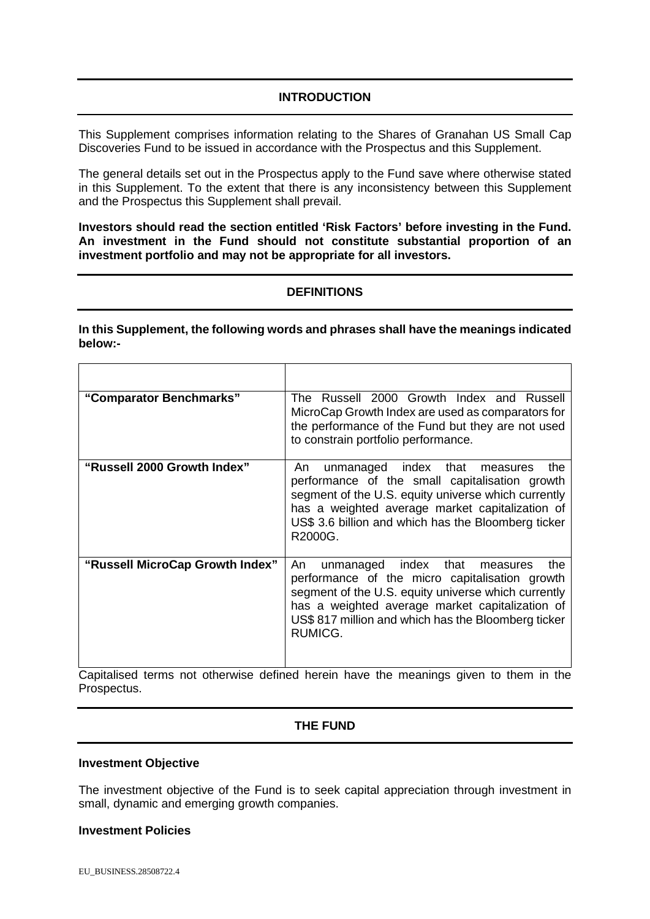# **INTRODUCTION**

This Supplement comprises information relating to the Shares of Granahan US Small Cap Discoveries Fund to be issued in accordance with the Prospectus and this Supplement.

The general details set out in the Prospectus apply to the Fund save where otherwise stated in this Supplement. To the extent that there is any inconsistency between this Supplement and the Prospectus this Supplement shall prevail.

**Investors should read the section entitled 'Risk Factors' before investing in the Fund. An investment in the Fund should not constitute substantial proportion of an investment portfolio and may not be appropriate for all investors.** 

# **DEFINITIONS**

**In this Supplement, the following words and phrases shall have the meanings indicated below:-** 

| "Comparator Benchmarks"                                                                                  | The Russell 2000 Growth Index and Russell<br>MicroCap Growth Index are used as comparators for<br>the performance of the Fund but they are not used<br>to constrain portfolio performance.                                                                                                                                |
|----------------------------------------------------------------------------------------------------------|---------------------------------------------------------------------------------------------------------------------------------------------------------------------------------------------------------------------------------------------------------------------------------------------------------------------------|
| "Russell 2000 Growth Index"                                                                              | unmanaged index<br>the<br>that<br>An<br>measures<br>performance of the small capitalisation growth<br>segment of the U.S. equity universe which currently<br>has a weighted average market capitalization of<br>US\$ 3.6 billion and which has the Bloomberg ticker<br>R2000G.                                            |
| "Russell MicroCap Growth Index"<br>Oppitalizzat tappea part attenpuissa define di bapein bauer the proce | unmanaged index that<br>the<br>An<br>measures<br>performance of the micro capitalisation growth<br>segment of the U.S. equity universe which currently<br>has a weighted average market capitalization of<br>US\$ 817 million and which has the Bloomberg ticker<br>RUMICG.<br>والجارون ومواصله والجاري والمتحدث والمتحدث |

Capitalised terms not otherwise defined herein have the meanings given to them in the Prospectus.

# **THE FUND**

#### **Investment Objective**

The investment objective of the Fund is to seek capital appreciation through investment in small, dynamic and emerging growth companies.

### **Investment Policies**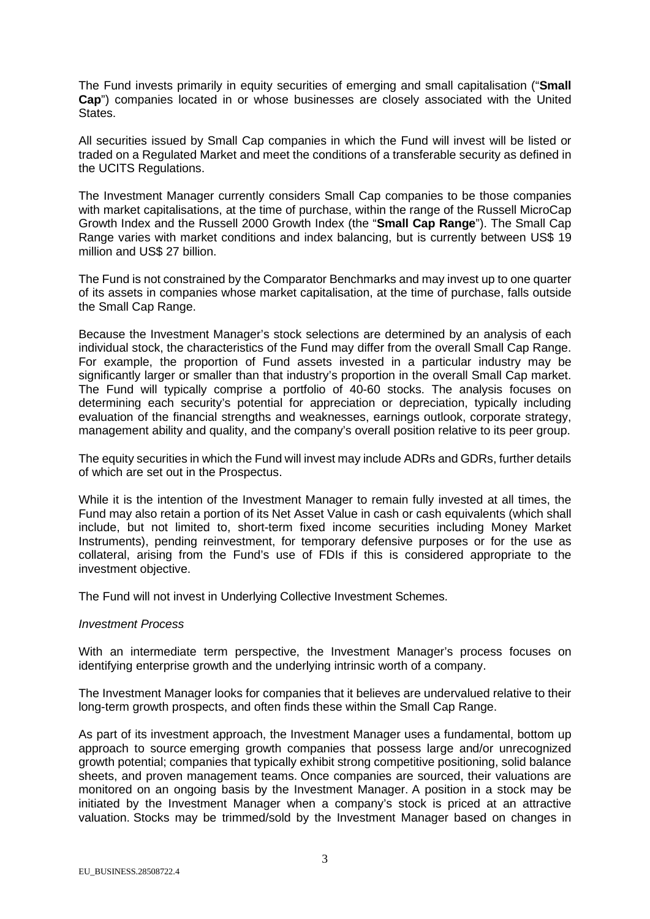The Fund invests primarily in equity securities of emerging and small capitalisation ("**Small Cap**") companies located in or whose businesses are closely associated with the United States.

All securities issued by Small Cap companies in which the Fund will invest will be listed or traded on a Regulated Market and meet the conditions of a transferable security as defined in the UCITS Regulations.

The Investment Manager currently considers Small Cap companies to be those companies with market capitalisations, at the time of purchase, within the range of the Russell MicroCap Growth Index and the Russell 2000 Growth Index (the "**Small Cap Range**"). The Small Cap Range varies with market conditions and index balancing, but is currently between US\$ 19 million and US\$ 27 billion.

The Fund is not constrained by the Comparator Benchmarks and may invest up to one quarter of its assets in companies whose market capitalisation, at the time of purchase, falls outside the Small Cap Range.

Because the Investment Manager's stock selections are determined by an analysis of each individual stock, the characteristics of the Fund may differ from the overall Small Cap Range. For example, the proportion of Fund assets invested in a particular industry may be significantly larger or smaller than that industry's proportion in the overall Small Cap market. The Fund will typically comprise a portfolio of 40-60 stocks. The analysis focuses on determining each security's potential for appreciation or depreciation, typically including evaluation of the financial strengths and weaknesses, earnings outlook, corporate strategy, management ability and quality, and the company's overall position relative to its peer group.

The equity securities in which the Fund will invest may include ADRs and GDRs, further details of which are set out in the Prospectus.

While it is the intention of the Investment Manager to remain fully invested at all times, the Fund may also retain a portion of its Net Asset Value in cash or cash equivalents (which shall include, but not limited to, short-term fixed income securities including Money Market Instruments), pending reinvestment, for temporary defensive purposes or for the use as collateral, arising from the Fund's use of FDIs if this is considered appropriate to the investment objective.

The Fund will not invest in Underlying Collective Investment Schemes.

### *Investment Process*

With an intermediate term perspective, the Investment Manager's process focuses on identifying enterprise growth and the underlying intrinsic worth of a company.

The Investment Manager looks for companies that it believes are undervalued relative to their long-term growth prospects, and often finds these within the Small Cap Range.

As part of its investment approach, the Investment Manager uses a fundamental, bottom up approach to source emerging growth companies that possess large and/or unrecognized growth potential; companies that typically exhibit strong competitive positioning, solid balance sheets, and proven management teams. Once companies are sourced, their valuations are monitored on an ongoing basis by the Investment Manager. A position in a stock may be initiated by the Investment Manager when a company's stock is priced at an attractive valuation. Stocks may be trimmed/sold by the Investment Manager based on changes in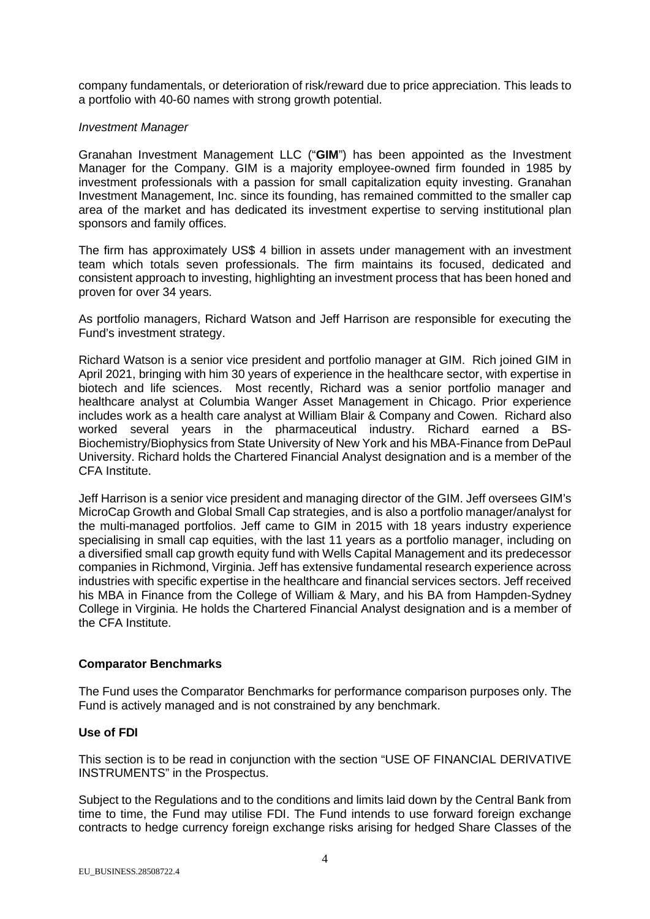company fundamentals, or deterioration of risk/reward due to price appreciation. This leads to a portfolio with 40-60 names with strong growth potential.

## *Investment Manager*

Granahan Investment Management LLC ("**GIM**") has been appointed as the Investment Manager for the Company. GIM is a majority employee-owned firm founded in 1985 by investment professionals with a passion for small capitalization equity investing. Granahan Investment Management, Inc. since its founding, has remained committed to the smaller cap area of the market and has dedicated its investment expertise to serving institutional plan sponsors and family offices.

The firm has approximately US\$ 4 billion in assets under management with an investment team which totals seven professionals. The firm maintains its focused, dedicated and consistent approach to investing, highlighting an investment process that has been honed and proven for over 34 years.

As portfolio managers, Richard Watson and Jeff Harrison are responsible for executing the Fund's investment strategy.

Richard Watson is a senior vice president and portfolio manager at GIM. Rich joined GIM in April 2021, bringing with him 30 years of experience in the healthcare sector, with expertise in biotech and life sciences. Most recently, Richard was a senior portfolio manager and healthcare analyst at Columbia Wanger Asset Management in Chicago. Prior experience includes work as a health care analyst at William Blair & Company and Cowen. Richard also worked several years in the pharmaceutical industry. Richard earned a BS-Biochemistry/Biophysics from State University of New York and his MBA-Finance from DePaul University. Richard holds the Chartered Financial Analyst designation and is a member of the CFA Institute.

Jeff Harrison is a senior vice president and managing director of the GIM. Jeff oversees GIM's MicroCap Growth and Global Small Cap strategies, and is also a portfolio manager/analyst for the multi-managed portfolios. Jeff came to GIM in 2015 with 18 years industry experience specialising in small cap equities, with the last 11 years as a portfolio manager, including on a diversified small cap growth equity fund with Wells Capital Management and its predecessor companies in Richmond, Virginia. Jeff has extensive fundamental research experience across industries with specific expertise in the healthcare and financial services sectors. Jeff received his MBA in Finance from the College of William & Mary, and his BA from Hampden-Sydney College in Virginia. He holds the Chartered Financial Analyst designation and is a member of the CFA Institute.

# **Comparator Benchmarks**

The Fund uses the Comparator Benchmarks for performance comparison purposes only. The Fund is actively managed and is not constrained by any benchmark.

### **Use of FDI**

This section is to be read in conjunction with the section "USE OF FINANCIAL DERIVATIVE INSTRUMENTS" in the Prospectus.

Subject to the Regulations and to the conditions and limits laid down by the Central Bank from time to time, the Fund may utilise FDI. The Fund intends to use forward foreign exchange contracts to hedge currency foreign exchange risks arising for hedged Share Classes of the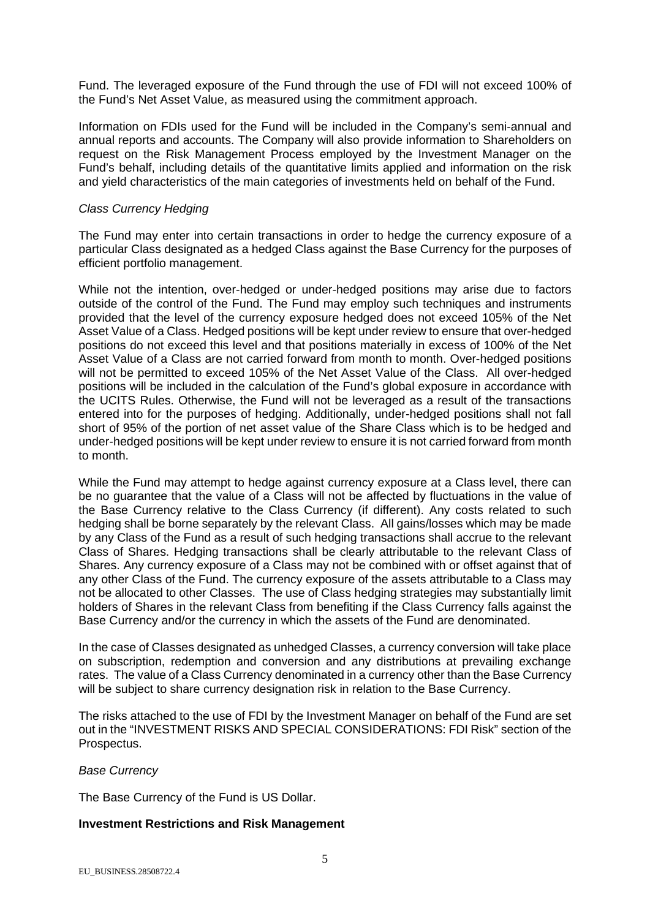Fund. The leveraged exposure of the Fund through the use of FDI will not exceed 100% of the Fund's Net Asset Value, as measured using the commitment approach.

Information on FDIs used for the Fund will be included in the Company's semi-annual and annual reports and accounts. The Company will also provide information to Shareholders on request on the Risk Management Process employed by the Investment Manager on the Fund's behalf, including details of the quantitative limits applied and information on the risk and yield characteristics of the main categories of investments held on behalf of the Fund.

## *Class Currency Hedging*

The Fund may enter into certain transactions in order to hedge the currency exposure of a particular Class designated as a hedged Class against the Base Currency for the purposes of efficient portfolio management.

While not the intention, over-hedged or under-hedged positions may arise due to factors outside of the control of the Fund. The Fund may employ such techniques and instruments provided that the level of the currency exposure hedged does not exceed 105% of the Net Asset Value of a Class. Hedged positions will be kept under review to ensure that over-hedged positions do not exceed this level and that positions materially in excess of 100% of the Net Asset Value of a Class are not carried forward from month to month. Over-hedged positions will not be permitted to exceed 105% of the Net Asset Value of the Class. All over-hedged positions will be included in the calculation of the Fund's global exposure in accordance with the UCITS Rules. Otherwise, the Fund will not be leveraged as a result of the transactions entered into for the purposes of hedging. Additionally, under-hedged positions shall not fall short of 95% of the portion of net asset value of the Share Class which is to be hedged and under-hedged positions will be kept under review to ensure it is not carried forward from month to month.

While the Fund may attempt to hedge against currency exposure at a Class level, there can be no guarantee that the value of a Class will not be affected by fluctuations in the value of the Base Currency relative to the Class Currency (if different). Any costs related to such hedging shall be borne separately by the relevant Class. All gains/losses which may be made by any Class of the Fund as a result of such hedging transactions shall accrue to the relevant Class of Shares. Hedging transactions shall be clearly attributable to the relevant Class of Shares. Any currency exposure of a Class may not be combined with or offset against that of any other Class of the Fund. The currency exposure of the assets attributable to a Class may not be allocated to other Classes. The use of Class hedging strategies may substantially limit holders of Shares in the relevant Class from benefiting if the Class Currency falls against the Base Currency and/or the currency in which the assets of the Fund are denominated.

In the case of Classes designated as unhedged Classes, a currency conversion will take place on subscription, redemption and conversion and any distributions at prevailing exchange rates. The value of a Class Currency denominated in a currency other than the Base Currency will be subject to share currency designation risk in relation to the Base Currency.

The risks attached to the use of FDI by the Investment Manager on behalf of the Fund are set out in the "INVESTMENT RISKS AND SPECIAL CONSIDERATIONS: FDI Risk" section of the Prospectus.

### *Base Currency*

The Base Currency of the Fund is US Dollar.

# **Investment Restrictions and Risk Management**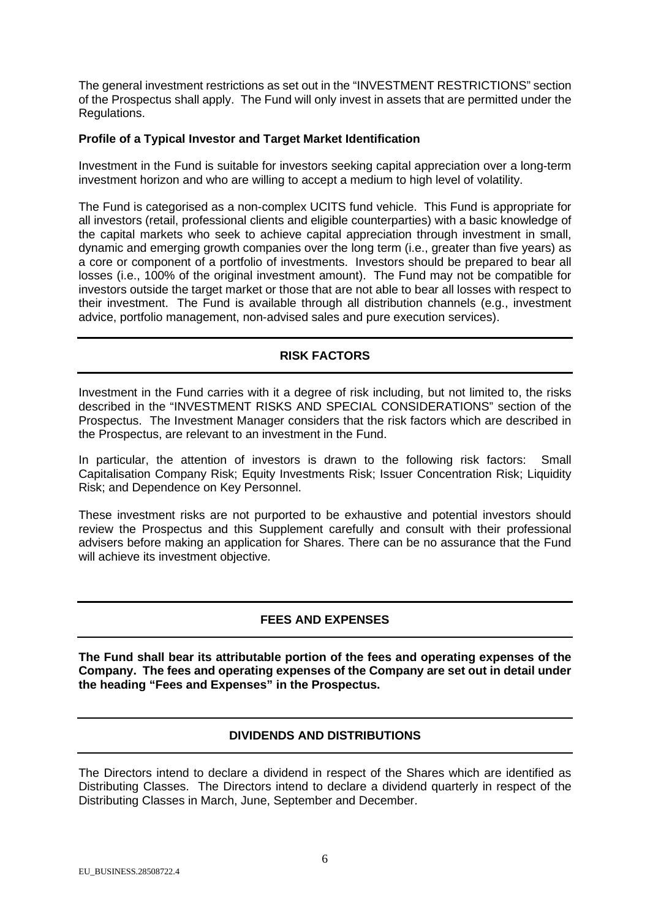The general investment restrictions as set out in the "INVESTMENT RESTRICTIONS" section of the Prospectus shall apply. The Fund will only invest in assets that are permitted under the Regulations.

# **Profile of a Typical Investor and Target Market Identification**

Investment in the Fund is suitable for investors seeking capital appreciation over a long-term investment horizon and who are willing to accept a medium to high level of volatility.

The Fund is categorised as a non-complex UCITS fund vehicle. This Fund is appropriate for all investors (retail, professional clients and eligible counterparties) with a basic knowledge of the capital markets who seek to achieve capital appreciation through investment in small, dynamic and emerging growth companies over the long term (i.e., greater than five years) as a core or component of a portfolio of investments. Investors should be prepared to bear all losses (i.e., 100% of the original investment amount). The Fund may not be compatible for investors outside the target market or those that are not able to bear all losses with respect to their investment. The Fund is available through all distribution channels (e.g., investment advice, portfolio management, non-advised sales and pure execution services).

# **RISK FACTORS**

Investment in the Fund carries with it a degree of risk including, but not limited to, the risks described in the "INVESTMENT RISKS AND SPECIAL CONSIDERATIONS" section of the Prospectus. The Investment Manager considers that the risk factors which are described in the Prospectus, are relevant to an investment in the Fund.

In particular, the attention of investors is drawn to the following risk factors: Small Capitalisation Company Risk; Equity Investments Risk; Issuer Concentration Risk; Liquidity Risk; and Dependence on Key Personnel.

These investment risks are not purported to be exhaustive and potential investors should review the Prospectus and this Supplement carefully and consult with their professional advisers before making an application for Shares. There can be no assurance that the Fund will achieve its investment objective.

# **FEES AND EXPENSES**

**The Fund shall bear its attributable portion of the fees and operating expenses of the Company. The fees and operating expenses of the Company are set out in detail under the heading "Fees and Expenses" in the Prospectus.** 

# **DIVIDENDS AND DISTRIBUTIONS**

The Directors intend to declare a dividend in respect of the Shares which are identified as Distributing Classes. The Directors intend to declare a dividend quarterly in respect of the Distributing Classes in March, June, September and December.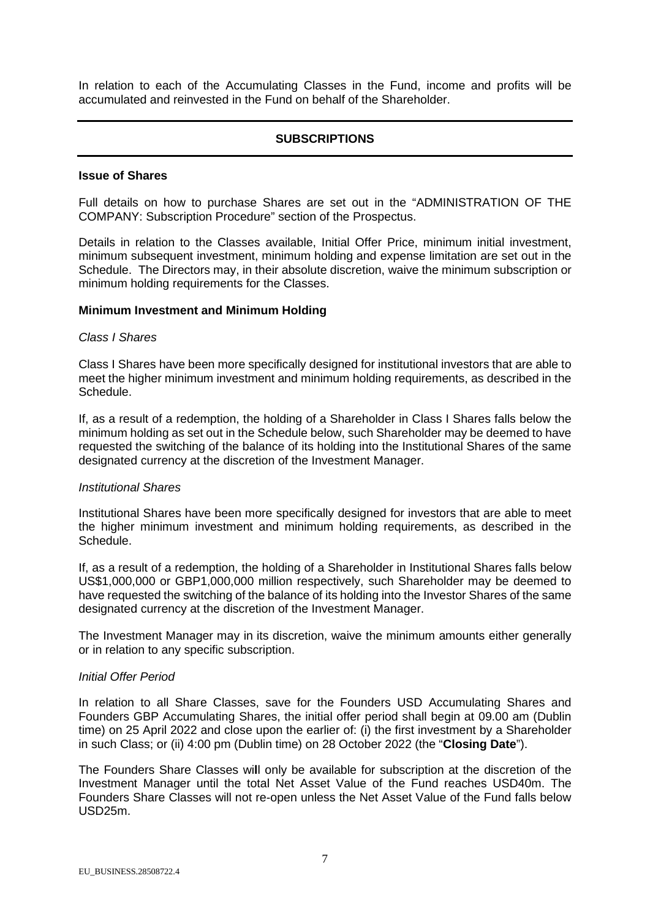In relation to each of the Accumulating Classes in the Fund, income and profits will be accumulated and reinvested in the Fund on behalf of the Shareholder.

# **SUBSCRIPTIONS**

#### **Issue of Shares**

Full details on how to purchase Shares are set out in the "ADMINISTRATION OF THE COMPANY: Subscription Procedure" section of the Prospectus.

Details in relation to the Classes available, Initial Offer Price, minimum initial investment, minimum subsequent investment, minimum holding and expense limitation are set out in the Schedule. The Directors may, in their absolute discretion, waive the minimum subscription or minimum holding requirements for the Classes.

### **Minimum Investment and Minimum Holding**

#### *Class I Shares*

Class I Shares have been more specifically designed for institutional investors that are able to meet the higher minimum investment and minimum holding requirements, as described in the Schedule.

If, as a result of a redemption, the holding of a Shareholder in Class I Shares falls below the minimum holding as set out in the Schedule below, such Shareholder may be deemed to have requested the switching of the balance of its holding into the Institutional Shares of the same designated currency at the discretion of the Investment Manager.

#### *Institutional Shares*

Institutional Shares have been more specifically designed for investors that are able to meet the higher minimum investment and minimum holding requirements, as described in the Schedule.

If, as a result of a redemption, the holding of a Shareholder in Institutional Shares falls below US\$1,000,000 or GBP1,000,000 million respectively, such Shareholder may be deemed to have requested the switching of the balance of its holding into the Investor Shares of the same designated currency at the discretion of the Investment Manager.

The Investment Manager may in its discretion, waive the minimum amounts either generally or in relation to any specific subscription.

#### *Initial Offer Period*

In relation to all Share Classes, save for the Founders USD Accumulating Shares and Founders GBP Accumulating Shares, the initial offer period shall begin at 09.00 am (Dublin time) on 25 April 2022 and close upon the earlier of: (i) the first investment by a Shareholder in such Class; or (ii) 4:00 pm (Dublin time) on 28 October 2022 (the "**Closing Date**").

The Founders Share Classes wi**l**l only be available for subscription at the discretion of the Investment Manager until the total Net Asset Value of the Fund reaches USD40m. The Founders Share Classes will not re-open unless the Net Asset Value of the Fund falls below USD25m.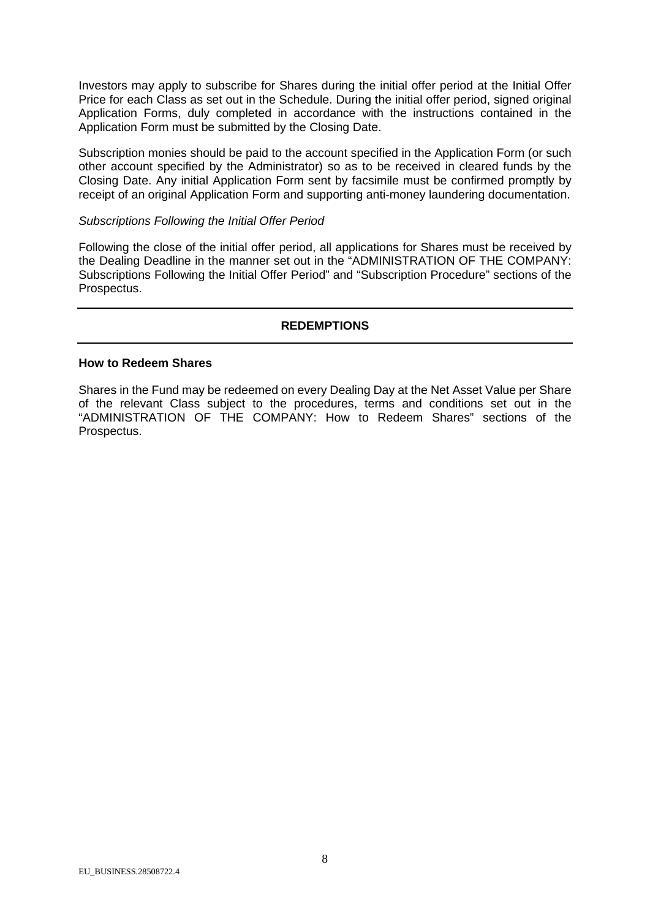Investors may apply to subscribe for Shares during the initial offer period at the Initial Offer Price for each Class as set out in the Schedule. During the initial offer period, signed original Application Forms, duly completed in accordance with the instructions contained in the Application Form must be submitted by the Closing Date.

Subscription monies should be paid to the account specified in the Application Form (or such other account specified by the Administrator) so as to be received in cleared funds by the Closing Date. Any initial Application Form sent by facsimile must be confirmed promptly by receipt of an original Application Form and supporting anti-money laundering documentation.

## *Subscriptions Following the Initial Offer Period*

Following the close of the initial offer period, all applications for Shares must be received by the Dealing Deadline in the manner set out in the "ADMINISTRATION OF THE COMPANY: Subscriptions Following the Initial Offer Period" and "Subscription Procedure" sections of the Prospectus.

# **REDEMPTIONS**

## **How to Redeem Shares**

Shares in the Fund may be redeemed on every Dealing Day at the Net Asset Value per Share of the relevant Class subject to the procedures, terms and conditions set out in the "ADMINISTRATION OF THE COMPANY: How to Redeem Shares" sections of the Prospectus.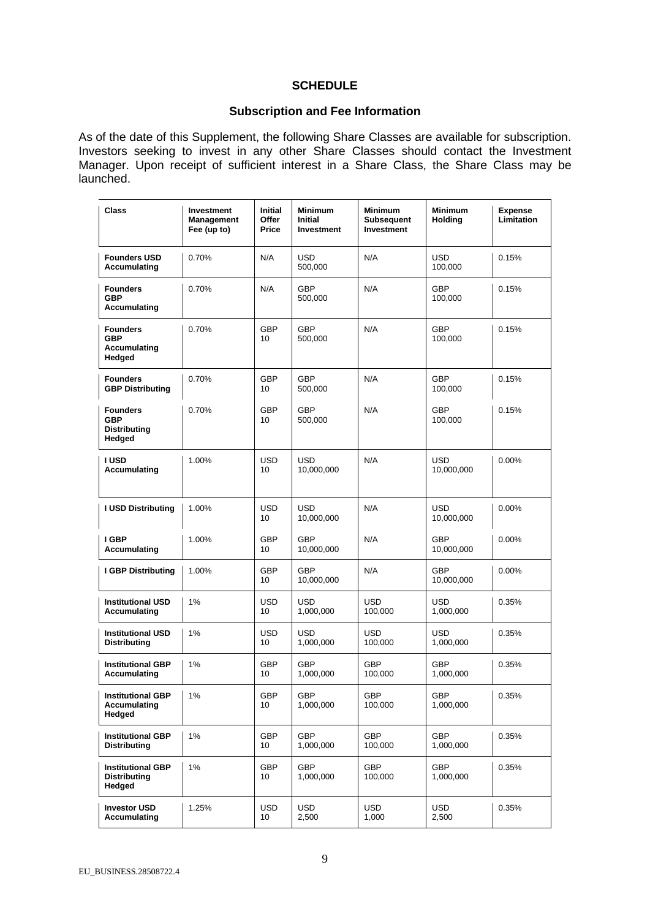## **SCHEDULE**

## **Subscription and Fee Information**

As of the date of this Supplement, the following Share Classes are available for subscription. Investors seeking to invest in any other Share Classes should contact the Investment Manager. Upon receipt of sufficient interest in a Share Class, the Share Class may be launched.

| <b>Class</b>                                                   | Investment<br><b>Management</b><br>Fee (up to) | <b>Initial</b><br><b>Offer</b><br>Price | <b>Minimum</b><br><b>Initial</b><br>Investment | <b>Minimum</b><br><b>Subsequent</b><br>Investment | <b>Minimum</b><br><b>Holding</b> | <b>Expense</b><br><b>Limitation</b> |
|----------------------------------------------------------------|------------------------------------------------|-----------------------------------------|------------------------------------------------|---------------------------------------------------|----------------------------------|-------------------------------------|
| <b>Founders USD</b><br>Accumulating                            | 0.70%                                          | N/A                                     | <b>USD</b><br>500,000                          | N/A                                               | <b>USD</b><br>100,000            | 0.15%                               |
| <b>Founders</b><br><b>GBP</b><br>Accumulating                  | 0.70%                                          | N/A                                     | <b>GBP</b><br>500,000                          | N/A                                               | <b>GBP</b><br>100,000            | 0.15%                               |
| <b>Founders</b><br><b>GBP</b><br><b>Accumulating</b><br>Hedged | 0.70%                                          | <b>GBP</b><br>10                        | <b>GBP</b><br>500,000                          | N/A                                               | <b>GBP</b><br>100,000            | 0.15%                               |
| <b>Founders</b><br><b>GBP Distributing</b>                     | 0.70%                                          | <b>GBP</b><br>10                        | <b>GBP</b><br>500,000                          | N/A                                               | <b>GBP</b><br>100,000            | 0.15%                               |
| <b>Founders</b><br><b>GBP</b><br><b>Distributing</b><br>Hedged | 0.70%                                          | <b>GBP</b><br>10                        | <b>GBP</b><br>500,000                          | N/A                                               | <b>GBP</b><br>100,000            | 0.15%                               |
| I USD<br>Accumulating                                          | 1.00%                                          | <b>USD</b><br>10                        | USD<br>10,000,000                              | N/A                                               | USD<br>10,000,000                | 0.00%                               |
| <b>I USD Distributing</b>                                      | 1.00%                                          | <b>USD</b><br>10                        | <b>USD</b><br>10,000,000                       | N/A                                               | <b>USD</b><br>10,000,000         | $0.00\%$                            |
| I GBP<br>Accumulating                                          | 1.00%                                          | <b>GBP</b><br>10                        | <b>GBP</b><br>10,000,000                       | N/A                                               | <b>GBP</b><br>10,000,000         | 0.00%                               |
| <b>I GBP Distributing</b>                                      | 1.00%                                          | <b>GBP</b><br>10                        | <b>GBP</b><br>10,000,000                       | N/A                                               | <b>GBP</b><br>10,000,000         | 0.00%                               |
| <b>Institutional USD</b><br><b>Accumulating</b>                | 1%                                             | USD<br>10                               | USD<br>1,000,000                               | USD<br>100,000                                    | USD<br>1,000,000                 | 0.35%                               |
| <b>Institutional USD</b><br><b>Distributing</b>                | 1%                                             | <b>USD</b><br>10                        | <b>USD</b><br>1,000,000                        | <b>USD</b><br>100,000                             | USD<br>1,000,000                 | 0.35%                               |
| <b>Institutional GBP</b><br>Accumulating                       | 1%                                             | <b>GBP</b><br>10                        | <b>GBP</b><br>1,000,000                        | <b>GBP</b><br>100,000                             | <b>GBP</b><br>1,000,000          | 0.35%                               |
| <b>Institutional GBP</b><br><b>Accumulating</b><br>Hedged      | 1%                                             | GBP<br>10                               | GBP<br>1,000,000                               | GBP<br>100,000                                    | GBP<br>1,000,000                 | 0.35%                               |
| <b>Institutional GBP</b><br><b>Distributing</b>                | 1%                                             | <b>GBP</b><br>10                        | <b>GBP</b><br>1,000,000                        | <b>GBP</b><br>100,000                             | <b>GBP</b><br>1,000,000          | 0.35%                               |
| <b>Institutional GBP</b><br><b>Distributing</b><br>Hedged      | 1%                                             | <b>GBP</b><br>10                        | <b>GBP</b><br>1,000,000                        | <b>GBP</b><br>100,000                             | <b>GBP</b><br>1,000,000          | 0.35%                               |
| <b>Investor USD</b><br>Accumulating                            | 1.25%                                          | <b>USD</b><br>10                        | <b>USD</b><br>2,500                            | <b>USD</b><br>1,000                               | <b>USD</b><br>2,500              | 0.35%                               |